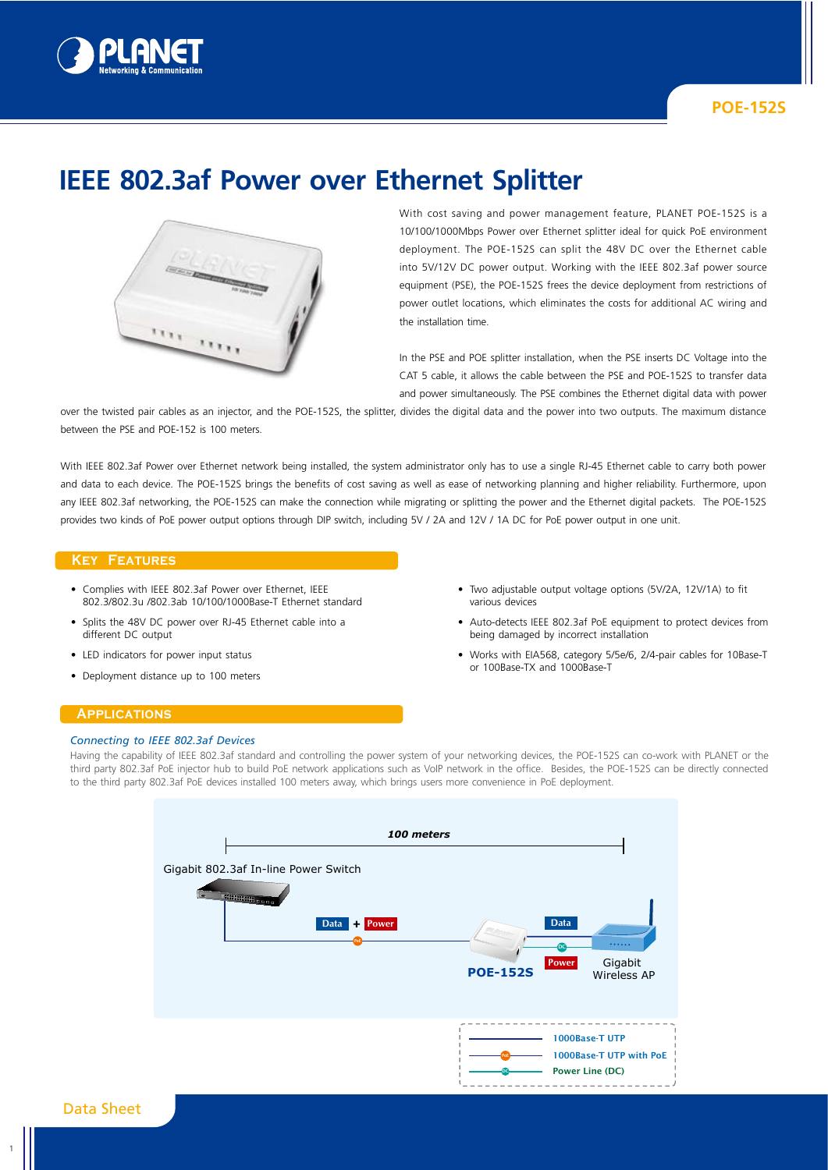



# **IEEE 802.3af Power over Ethernet Splitter**



With cost saving and power management feature, PLANET POE-152S is a 10/100/1000Mbps Power over Ethernet splitter ideal for quick PoE environment deployment. The POE-152S can split the 48V DC over the Ethernet cable into 5V/12V DC power output. Working with the IEEE 802.3af power source equipment (PSE), the POE-152S frees the device deployment from restrictions of power outlet locations, which eliminates the costs for additional AC wiring and the installation time.

In the PSE and POE splitter installation, when the PSE inserts DC Voltage into the CAT 5 cable, it allows the cable between the PSE and POE-152S to transfer data and power simultaneously. The PSE combines the Ethernet digital data with power

over the twisted pair cables as an injector, and the POE-152S, the splitter, divides the digital data and the power into two outputs. The maximum distance between the PSE and POE-152 is 100 meters.

With IEEE 802.3af Power over Ethernet network being installed, the system administrator only has to use a single RJ-45 Ethernet cable to carry both power and data to each device. The POE-152S brings the benefits of cost saving as well as ease of networking planning and higher reliability. Furthermore, upon any IEEE 802.3af networking, the POE-152S can make the connection while migrating or splitting the power and the Ethernet digital packets. The POE-152S provides two kinds of PoE power output options through DIP switch, including 5V / 2A and 12V / 1A DC for PoE power output in one unit.

### **Key Features**

- Complies with IEEE 802.3af Power over Ethernet, IEEE 802.3/802.3u /802.3ab 10/100/1000Base-T Ethernet standard
- Splits the 48V DC power over RJ-45 Ethernet cable into a different DC output
- LED indicators for power input status
- Deployment distance up to 100 meters
- Two adjustable output voltage options (5V/2A, 12V/1A) to fit various devices
- Auto-detects IEEE 802.3af PoE equipment to protect devices from being damaged by incorrect installation
- Works with EIA568, category 5/5e/6, 2/4-pair cables for 10Base-T or 100Base-TX and 1000Base-T

## **Applications**

#### *Connecting to IEEE 802.3af Devices*

Having the capability of IEEE 802.3af standard and controlling the power system of your networking devices, the POE-152S can co-work with PLANET or the third party 802.3af PoE injector hub to build PoE network applications such as VoIP network in the office. Besides, the POE-152S can be directly connected to the third party 802.3af PoE devices installed 100 meters away, which brings users more convenience in PoE deployment.



1